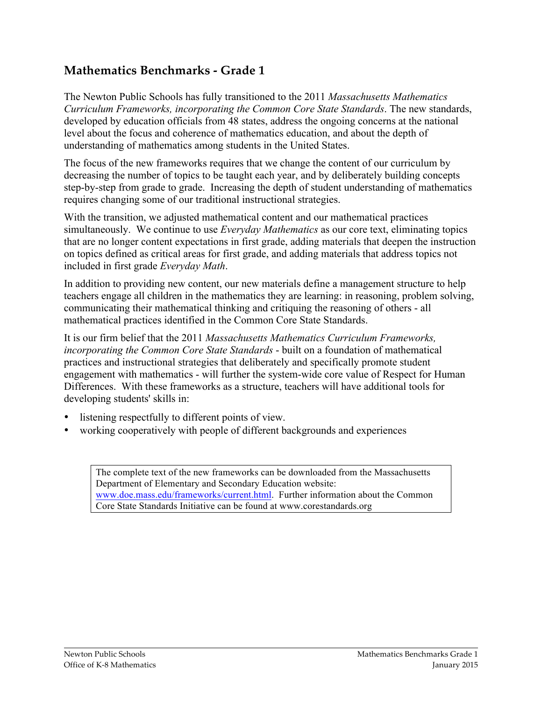## **Mathematics Benchmarks - Grade 1**

The Newton Public Schools has fully transitioned to the 2011 *Massachusetts Mathematics Curriculum Frameworks, incorporating the Common Core State Standards*. The new standards, developed by education officials from 48 states, address the ongoing concerns at the national level about the focus and coherence of mathematics education, and about the depth of understanding of mathematics among students in the United States.

The focus of the new frameworks requires that we change the content of our curriculum by decreasing the number of topics to be taught each year, and by deliberately building concepts step-by-step from grade to grade. Increasing the depth of student understanding of mathematics requires changing some of our traditional instructional strategies.

With the transition, we adjusted mathematical content and our mathematical practices simultaneously. We continue to use *Everyday Mathematics* as our core text, eliminating topics that are no longer content expectations in first grade, adding materials that deepen the instruction on topics defined as critical areas for first grade, and adding materials that address topics not included in first grade *Everyday Math*.

In addition to providing new content, our new materials define a management structure to help teachers engage all children in the mathematics they are learning: in reasoning, problem solving, communicating their mathematical thinking and critiquing the reasoning of others - all mathematical practices identified in the Common Core State Standards.

It is our firm belief that the 2011 *Massachusetts Mathematics Curriculum Frameworks, incorporating the Common Core State Standards* - built on a foundation of mathematical practices and instructional strategies that deliberately and specifically promote student engagement with mathematics - will further the system-wide core value of Respect for Human Differences. With these frameworks as a structure, teachers will have additional tools for developing students' skills in:

- listening respectfully to different points of view.
- working cooperatively with people of different backgrounds and experiences

The complete text of the new frameworks can be downloaded from the Massachusetts Department of Elementary and Secondary Education website: www.doe.mass.edu/frameworks/current.html. Further information about the Common Core State Standards Initiative can be found at www.corestandards.org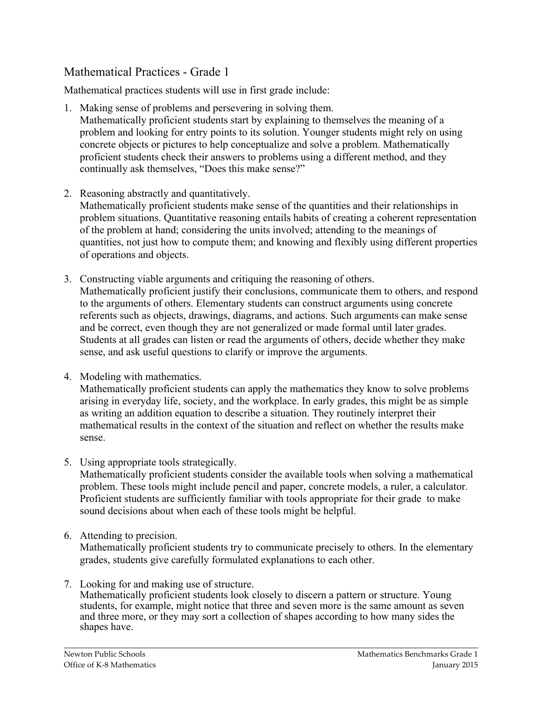## Mathematical Practices - Grade 1

Mathematical practices students will use in first grade include:

- 1. Making sense of problems and persevering in solving them. Mathematically proficient students start by explaining to themselves the meaning of a problem and looking for entry points to its solution. Younger students might rely on using concrete objects or pictures to help conceptualize and solve a problem. Mathematically proficient students check their answers to problems using a different method, and they continually ask themselves, "Does this make sense?"
- 2. Reasoning abstractly and quantitatively. Mathematically proficient students make sense of the quantities and their relationships in problem situations. Quantitative reasoning entails habits of creating a coherent representation of the problem at hand; considering the units involved; attending to the meanings of quantities, not just how to compute them; and knowing and flexibly using different properties of operations and objects.
- 3. Constructing viable arguments and critiquing the reasoning of others. Mathematically proficient justify their conclusions, communicate them to others, and respond to the arguments of others. Elementary students can construct arguments using concrete referents such as objects, drawings, diagrams, and actions. Such arguments can make sense and be correct, even though they are not generalized or made formal until later grades. Students at all grades can listen or read the arguments of others, decide whether they make sense, and ask useful questions to clarify or improve the arguments.
- 4. Modeling with mathematics.

Mathematically proficient students can apply the mathematics they know to solve problems arising in everyday life, society, and the workplace. In early grades, this might be as simple as writing an addition equation to describe a situation. They routinely interpret their mathematical results in the context of the situation and reflect on whether the results make sense.

5. Using appropriate tools strategically.

Mathematically proficient students consider the available tools when solving a mathematical problem. These tools might include pencil and paper, concrete models, a ruler, a calculator. Proficient students are sufficiently familiar with tools appropriate for their grade to make sound decisions about when each of these tools might be helpful.

6. Attending to precision.

Mathematically proficient students try to communicate precisely to others. In the elementary grades, students give carefully formulated explanations to each other.

7. Looking for and making use of structure. Mathematically proficient students look closely to discern a pattern or structure. Young students, for example, might notice that three and seven more is the same amount as seven and three more, or they may sort a collection of shapes according to how many sides the shapes have.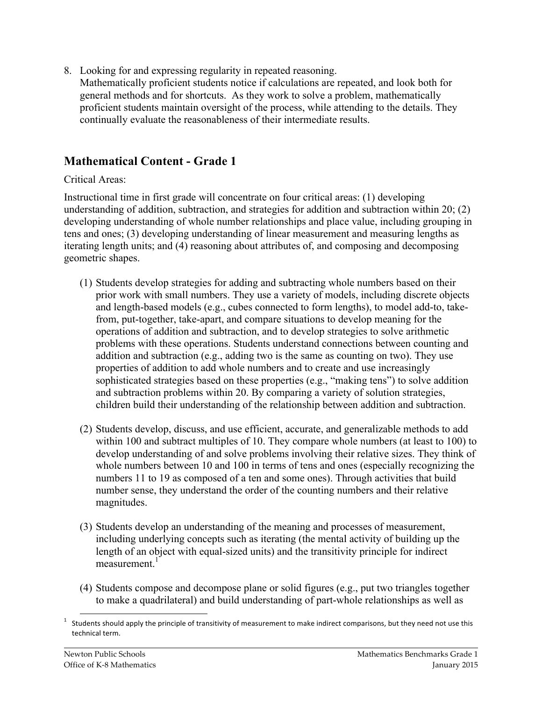8. Looking for and expressing regularity in repeated reasoning.

Mathematically proficient students notice if calculations are repeated, and look both for general methods and for shortcuts. As they work to solve a problem, mathematically proficient students maintain oversight of the process, while attending to the details. They continually evaluate the reasonableness of their intermediate results.

## **Mathematical Content - Grade 1**

### Critical Areas:

Instructional time in first grade will concentrate on four critical areas: (1) developing understanding of addition, subtraction, and strategies for addition and subtraction within 20; (2) developing understanding of whole number relationships and place value, including grouping in tens and ones; (3) developing understanding of linear measurement and measuring lengths as iterating length units; and (4) reasoning about attributes of, and composing and decomposing geometric shapes.

- (1) Students develop strategies for adding and subtracting whole numbers based on their prior work with small numbers. They use a variety of models, including discrete objects and length-based models (e.g., cubes connected to form lengths), to model add-to, takefrom, put-together, take-apart, and compare situations to develop meaning for the operations of addition and subtraction, and to develop strategies to solve arithmetic problems with these operations. Students understand connections between counting and addition and subtraction (e.g., adding two is the same as counting on two). They use properties of addition to add whole numbers and to create and use increasingly sophisticated strategies based on these properties (e.g., "making tens") to solve addition and subtraction problems within 20. By comparing a variety of solution strategies, children build their understanding of the relationship between addition and subtraction.
- (2) Students develop, discuss, and use efficient, accurate, and generalizable methods to add within 100 and subtract multiples of 10. They compare whole numbers (at least to 100) to develop understanding of and solve problems involving their relative sizes. They think of whole numbers between 10 and 100 in terms of tens and ones (especially recognizing the numbers 11 to 19 as composed of a ten and some ones). Through activities that build number sense, they understand the order of the counting numbers and their relative magnitudes.
- (3) Students develop an understanding of the meaning and processes of measurement, including underlying concepts such as iterating (the mental activity of building up the length of an object with equal-sized units) and the transitivity principle for indirect measurement $<sup>1</sup>$ </sup>
- (4) Students compose and decompose plane or solid figures (e.g., put two triangles together to make a quadrilateral) and build understanding of part-whole relationships as well as

 $1$  Students should apply the principle of transitivity of measurement to make indirect comparisons, but they need not use this technical term.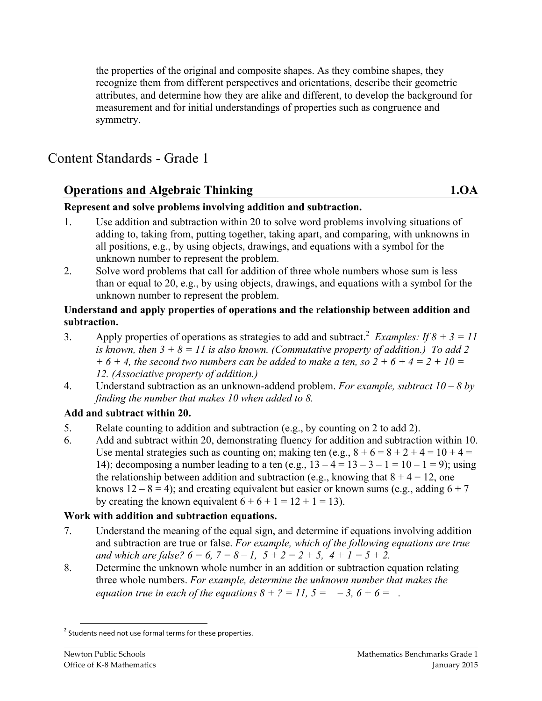the properties of the original and composite shapes. As they combine shapes, they recognize them from different perspectives and orientations, describe their geometric attributes, and determine how they are alike and different, to develop the background for measurement and for initial understandings of properties such as congruence and symmetry.

# Content Standards - Grade 1

## **Operations and Algebraic Thinking 1.0A**

#### **Represent and solve problems involving addition and subtraction.**

- 1. Use addition and subtraction within 20 to solve word problems involving situations of adding to, taking from, putting together, taking apart, and comparing, with unknowns in all positions, e.g., by using objects, drawings, and equations with a symbol for the unknown number to represent the problem.
- 2. Solve word problems that call for addition of three whole numbers whose sum is less than or equal to 20, e.g., by using objects, drawings, and equations with a symbol for the unknown number to represent the problem.

#### **Understand and apply properties of operations and the relationship between addition and subtraction.**

- 3. Apply properties of operations as strategies to add and subtract.<sup>2</sup> *Examples: If*  $8 + 3 = 11$ *is known, then 3 + 8 = 11 is also known. (Commutative property of addition.) To add 2*   $+6 + 4$ , the second two numbers can be added to make a ten, so  $2 + 6 + 4 = 2 + 10 = 0$ *12. (Associative property of addition.)*
- 4. Understand subtraction as an unknown-addend problem. *For example, subtract 10 – 8 by finding the number that makes 10 when added to 8.*

#### **Add and subtract within 20.**

- 5. Relate counting to addition and subtraction (e.g., by counting on 2 to add 2).
- 6. Add and subtract within 20, demonstrating fluency for addition and subtraction within 10. Use mental strategies such as counting on; making ten (e.g.,  $8 + 6 = 8 + 2 + 4 = 10 + 4 = 1$ 14); decomposing a number leading to a ten (e.g.,  $13 - 4 = 13 - 3 - 1 = 10 - 1 = 9$ ); using the relationship between addition and subtraction (e.g., knowing that  $8 + 4 = 12$ , one knows  $12 - 8 = 4$ ); and creating equivalent but easier or known sums (e.g., adding  $6 + 7$ ) by creating the known equivalent  $6 + 6 + 1 = 12 + 1 = 13$ .

## **Work with addition and subtraction equations.**

- 7. Understand the meaning of the equal sign, and determine if equations involving addition and subtraction are true or false. *For example, which of the following equations are true and which are false?*  $6 = 6$ ,  $7 = 8 - 1$ ,  $5 + 2 = 2 + 5$ ,  $4 + 1 = 5 + 2$ .
- 8. Determine the unknown whole number in an addition or subtraction equation relating three whole numbers. *For example, determine the unknown number that makes the equation true in each of the equations*  $8 + ? = 11$ *,*  $5 = -3$ *,*  $6 + 6 = 1$ *.*

 $2$  Students need not use formal terms for these properties.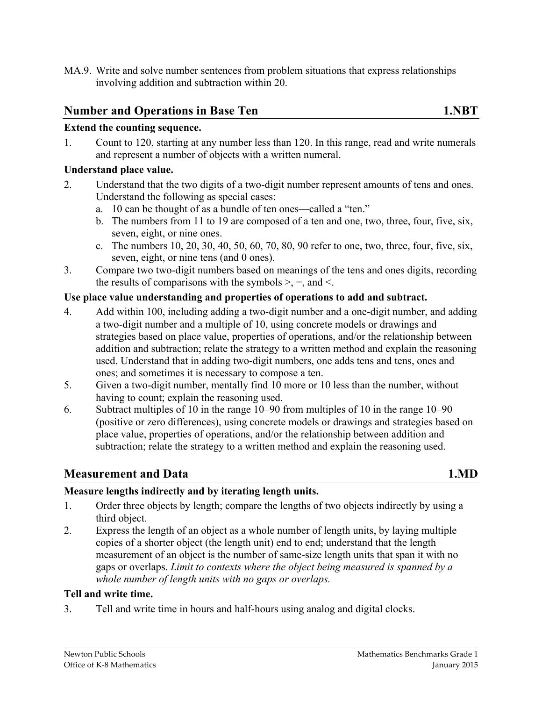MA.9. Write and solve number sentences from problem situations that express relationships involving addition and subtraction within 20.

# **Number and Operations in Base Ten 1.NBT**

#### **Extend the counting sequence.**

1. Count to 120, starting at any number less than 120. In this range, read and write numerals and represent a number of objects with a written numeral.

#### **Understand place value.**

- 2. Understand that the two digits of a two-digit number represent amounts of tens and ones. Understand the following as special cases:
	- a. 10 can be thought of as a bundle of ten ones—called a "ten."
	- b. The numbers from 11 to 19 are composed of a ten and one, two, three, four, five, six, seven, eight, or nine ones.
	- c. The numbers  $10, 20, 30, 40, 50, 60, 70, 80, 90$  refer to one, two, three, four, five, six, seven, eight, or nine tens (and 0 ones).
- 3. Compare two two-digit numbers based on meanings of the tens and ones digits, recording the results of comparisons with the symbols  $\geq$ ,  $\equiv$ , and  $\leq$ .

#### **Use place value understanding and properties of operations to add and subtract.**

- 4. Add within 100, including adding a two-digit number and a one-digit number, and adding a two-digit number and a multiple of 10, using concrete models or drawings and strategies based on place value, properties of operations, and/or the relationship between addition and subtraction; relate the strategy to a written method and explain the reasoning used. Understand that in adding two-digit numbers, one adds tens and tens, ones and ones; and sometimes it is necessary to compose a ten.
- 5. Given a two-digit number, mentally find 10 more or 10 less than the number, without having to count; explain the reasoning used.
- 6. Subtract multiples of 10 in the range 10–90 from multiples of 10 in the range 10–90 (positive or zero differences), using concrete models or drawings and strategies based on place value, properties of operations, and/or the relationship between addition and subtraction; relate the strategy to a written method and explain the reasoning used.

## **Measurement and Data** 1.MD

#### **Measure lengths indirectly and by iterating length units.**

- 1. Order three objects by length; compare the lengths of two objects indirectly by using a third object.
- 2. Express the length of an object as a whole number of length units, by laying multiple copies of a shorter object (the length unit) end to end; understand that the length measurement of an object is the number of same-size length units that span it with no gaps or overlaps. *Limit to contexts where the object being measured is spanned by a whole number of length units with no gaps or overlaps.*

#### **Tell and write time.**

3. Tell and write time in hours and half-hours using analog and digital clocks.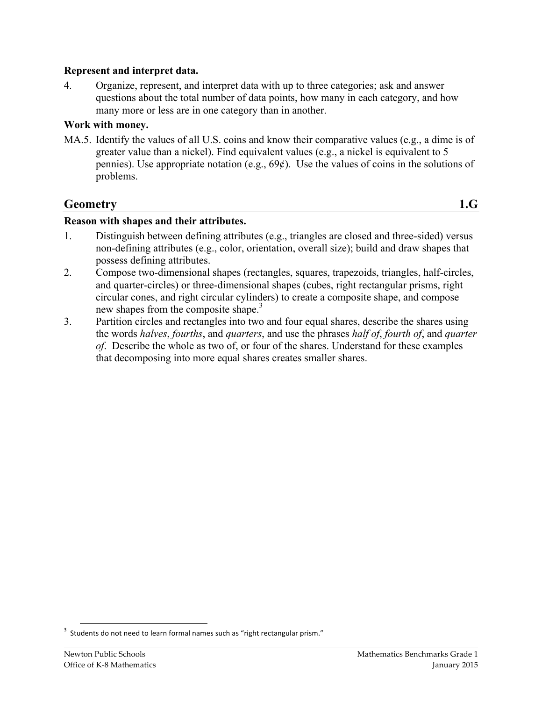#### **Represent and interpret data.**

4. Organize, represent, and interpret data with up to three categories; ask and answer questions about the total number of data points, how many in each category, and how many more or less are in one category than in another.

#### **Work with money.**

MA.5. Identify the values of all U.S. coins and know their comparative values (e.g., a dime is of greater value than a nickel). Find equivalent values (e.g., a nickel is equivalent to 5 pennies). Use appropriate notation (e.g.,  $69¢$ ). Use the values of coins in the solutions of problems.

## **Geometry 1.G**

#### **Reason with shapes and their attributes.**

- 1. Distinguish between defining attributes (e.g., triangles are closed and three-sided) versus non-defining attributes (e.g., color, orientation, overall size); build and draw shapes that possess defining attributes.
- 2. Compose two-dimensional shapes (rectangles, squares, trapezoids, triangles, half-circles, and quarter-circles) or three-dimensional shapes (cubes, right rectangular prisms, right circular cones, and right circular cylinders) to create a composite shape, and compose new shapes from the composite shape.<sup>3</sup>
- 3. Partition circles and rectangles into two and four equal shares, describe the shares using the words *halves*, *fourths*, and *quarters*, and use the phrases *half of*, *fourth of*, and *quarter of*. Describe the whole as two of, or four of the shares. Understand for these examples that decomposing into more equal shares creates smaller shares.

 $3$  Students do not need to learn formal names such as "right rectangular prism."